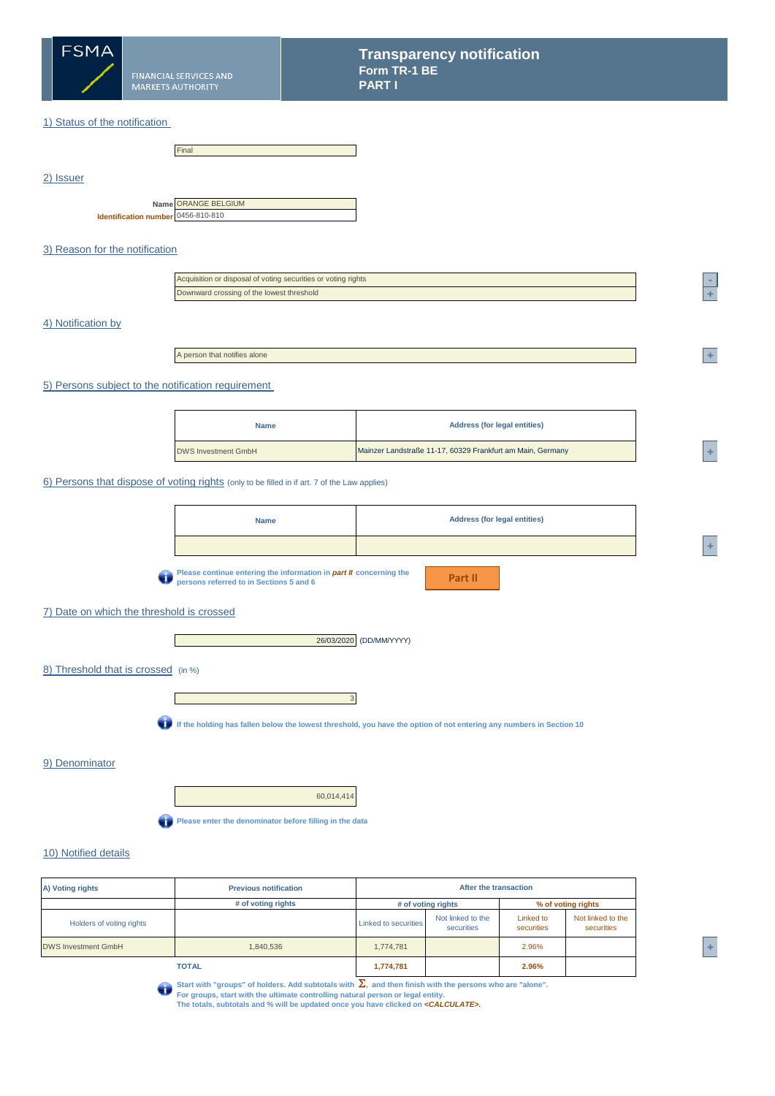

2) Issuer

### 1) Status of the notification

|                                                           | Final |
|-----------------------------------------------------------|-------|
|                                                           |       |
|                                                           |       |
|                                                           |       |
|                                                           |       |
| Name ORANGE BELGIUM<br>Identification number 0456-810-810 |       |

## 3) Reason for the notification

| Acquisition or disposal of voting securities or voting rights |
|---------------------------------------------------------------|
| Downward crossing of the lowest threshold                     |

#### 4) Notification by

A person that notifies alone

#### 5) Persons subject to the notification requirement

| <b>Name</b>                | <b>Address (for legal entities)</b>                        |  |
|----------------------------|------------------------------------------------------------|--|
| <b>DWS Investment GmbH</b> | Mainzer Landstraße 11-17, 60329 Frankfurt am Main, Germany |  |

#### 6) Persons that dispose of voting rights (only to be filled in if art. 7 of the Law applies)



### 7) Date on which the threshold is crossed

26/03/2020 (DD/MM/YYYY)

#### 8) Threshold that is crossed (in %)



**If the holding has fallen below the lowest threshold, you have the option of not entering any numbers in Section 10**

3

#### 9) Denominator

60,014,414 **Please enter the denominator before filling in the data** 

#### 10) Notified details

| A) Voting rights           | After the transaction<br><b>Previous notification</b> |                             |                                 |                         |                                 |  |
|----------------------------|-------------------------------------------------------|-----------------------------|---------------------------------|-------------------------|---------------------------------|--|
|                            | # of voting rights                                    | # of voting rights          |                                 | % of voting rights      |                                 |  |
| Holders of voting rights   |                                                       | <b>Linked to securities</b> | Not linked to the<br>securities | Linked to<br>securities | Not linked to the<br>securities |  |
| <b>DWS Investment GmbH</b> | 1,840,536                                             | 1,774,781                   |                                 | 2.96%                   |                                 |  |
|                            | <b>TOTAL</b>                                          | 1,774,781                   |                                 | 2.96%                   |                                 |  |



Start with "groups" of holders. Add subtotals with  $\sum$ , and then finish with the persons who are "alone".<br>For groups, start with the ultimate controlling natural person or legal entity.<br>The totals, subtotals and % will b

**<sup>2</sup> - <sup>13</sup> +** 

**<sup>1</sup> +** 

**<sup>A</sup> +**